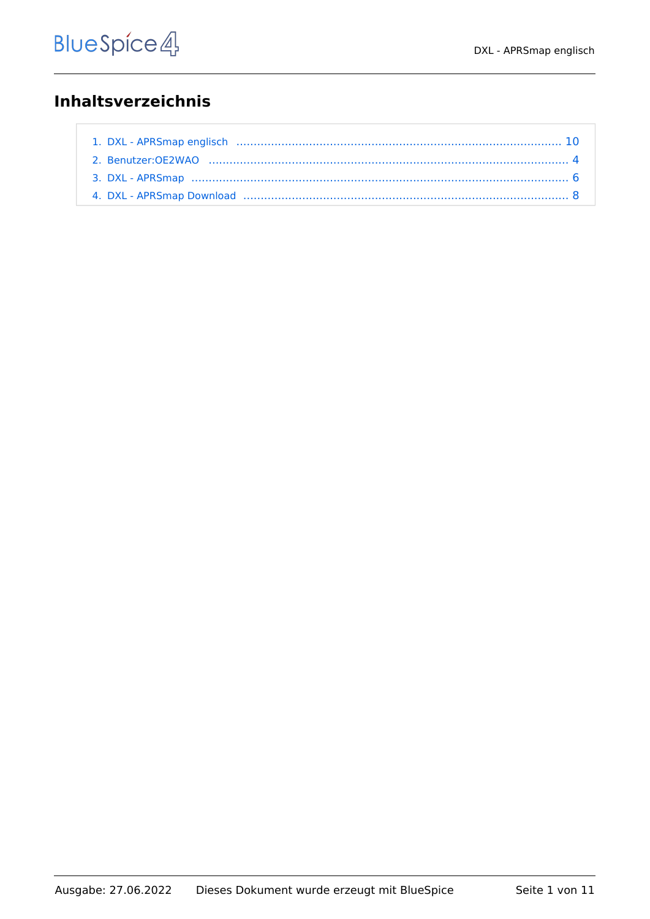# **Inhaltsverzeichnis**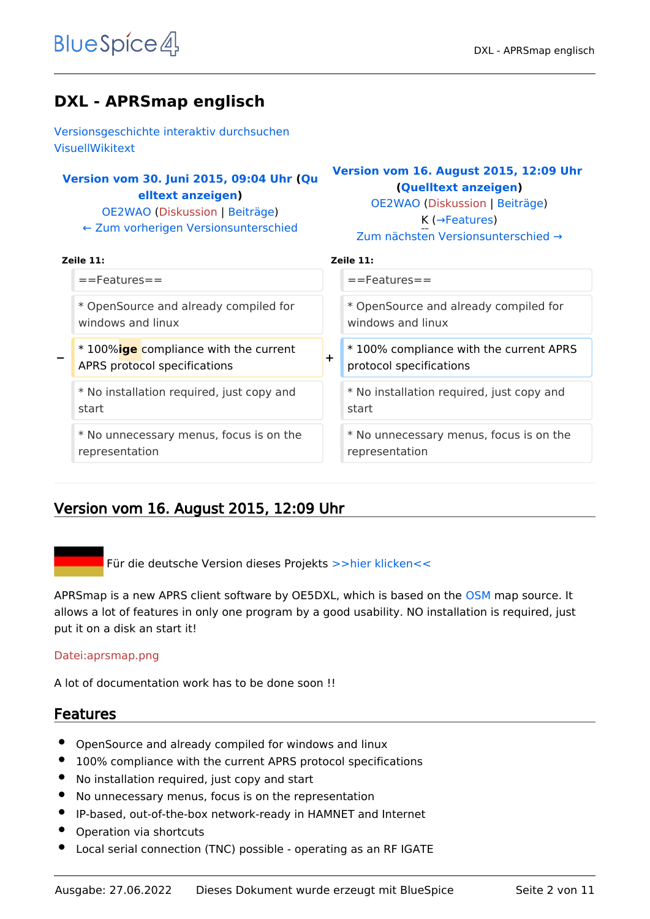# **DXL - APRSmap englisch**

[Versionsgeschichte interaktiv durchsuchen](https://wiki.oevsv.at) [VisuellWikitext](https://wiki.oevsv.at)

## **[Version vom 30. Juni 2015, 09:04 Uhr](#page-9-0) ([Qu](#page-9-0) [elltext anzeigen\)](#page-9-0)**

[OE2WAO](#page-3-0) ([Diskussion](https://wiki.oevsv.at/w/index.php?title=Benutzer_Diskussion:OE2WAO&action=view) | [Beiträge](https://wiki.oevsv.at/wiki/Spezial:Beitr%C3%A4ge/OE2WAO)) [← Zum vorherigen Versionsunterschied](#page-9-0)

## **[Version vom 16. August 2015, 12:09 Uhr](#page-9-0) ([Quelltext anzeigen](#page-9-0))**

[OE2WAO](#page-3-0) [\(Diskussion](https://wiki.oevsv.at/w/index.php?title=Benutzer_Diskussion:OE2WAO&action=view) | [Beiträge\)](https://wiki.oevsv.at/wiki/Spezial:Beitr%C3%A4ge/OE2WAO) K (→Features)

|  | Zum nächsten Versionsunterschied → |  |
|--|------------------------------------|--|
|  |                                    |  |

| Zeile 11:                                                                     | Zeile 11:                                                              |
|-------------------------------------------------------------------------------|------------------------------------------------------------------------|
| $==$ Features $==$                                                            | $==$ Features $==$                                                     |
| * OpenSource and already compiled for                                         | * OpenSource and already compiled for                                  |
| windows and linux                                                             | windows and linux                                                      |
| * 100% <b>ige</b> compliance with the current<br>APRS protocol specifications | *100% compliance with the current APRS<br>┿<br>protocol specifications |
| * No installation required, just copy and                                     | * No installation required, just copy and                              |
| start                                                                         | start                                                                  |
| * No unnecessary menus, focus is on the                                       | * No unnecessary menus, focus is on the                                |
| representation                                                                | representation                                                         |

## Version vom 16. August 2015, 12:09 Uhr

Für die deutsche Version dieses Projekts [>>hier klicken<<](#page-5-0)

APRSmap is a new APRS client software by OE5DXL, which is based on the [OSM](http://www.osm.org) map source. It allows a lot of features in only one program by a good usability. NO installation is required, just put it on a disk an start it!

#### [Datei:aprsmap.png](https://wiki.oevsv.at/w/index.php?title=Spezial:Hochladen&wpDestFile=aprsmap.png)

A lot of documentation work has to be done soon !!

- OpenSource and already compiled for windows and linux
- 100% compliance with the current APRS protocol specifications
- No installation required, just copy and start
- No unnecessary menus, focus is on the representation
- IP-based, out-of-the-box network-ready in HAMNET and Internet
- Operation via shortcuts
- Local serial connection (TNC) possible operating as an RF IGATE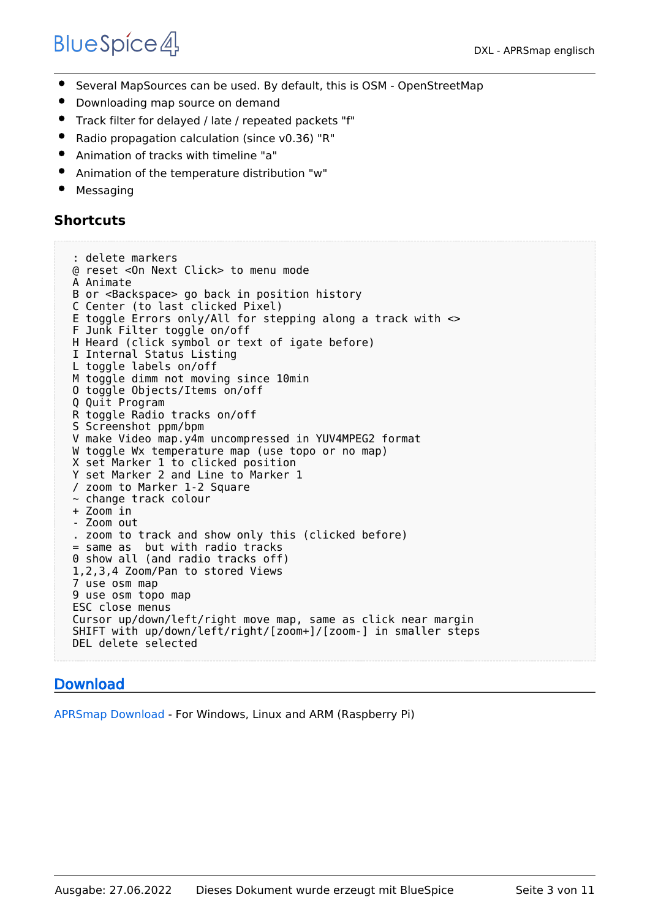- $\bullet$ Several MapSources can be used. By default, this is OSM - OpenStreetMap
- Downloading map source on demand
- Track filter for delayed / late / repeated packets "f"
- Radio propagation calculation (since v0.36) "R"
- Animation of tracks with timeline "a"
- Animation of the temperature distribution "w"
- Messaging

## **Shortcuts**

```
 : delete markers
@ reset <On Next Click> to menu mode
A Animate
B or <Backspace> go back in position history
C Center (to last clicked Pixel)
E toggle Errors only/All for stepping along a track with <>
F Junk Filter toggle on/off
H Heard (click symbol or text of igate before)
I Internal Status Listing
L toggle labels on/off
M toggle dimm not moving since 10min
O toggle Objects/Items on/off
Q Quit Program
R toggle Radio tracks on/off
S Screenshot ppm/bpm
V make Video map.y4m uncompressed in YUV4MPEG2 format
W toggle Wx temperature map (use topo or no map)
X set Marker 1 to clicked position
Y set Marker 2 and Line to Marker 1
/ zoom to Marker 1-2 Square
~ change track colour
+ Zoom in
- Zoom out
. zoom to track and show only this (clicked before)
= same as but with radio tracks
0 show all (and radio tracks off)
1,2,3,4 Zoom/Pan to stored Views
7 use osm map
9 use osm topo map
ESC close menus
Cursor up/down/left/right move map, same as click near margin
SHIFT with up/down/left/right/[zoom+]/[zoom-] in smaller steps
DEL delete selected
```
## [Download](#page-7-0)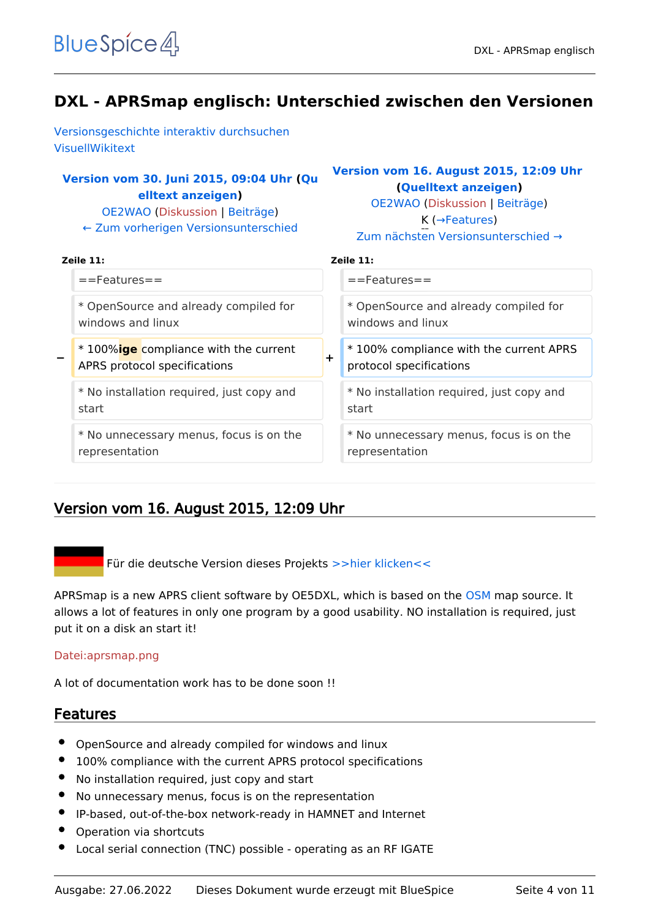<span id="page-3-0"></span>[Versionsgeschichte interaktiv durchsuchen](https://wiki.oevsv.at) [VisuellWikitext](https://wiki.oevsv.at)

## **[Version vom 30. Juni 2015, 09:04 Uhr](#page-9-0) ([Qu](#page-9-0) [elltext anzeigen\)](#page-9-0)**

[OE2WAO](#page-3-0) ([Diskussion](https://wiki.oevsv.at/w/index.php?title=Benutzer_Diskussion:OE2WAO&action=view) | [Beiträge](https://wiki.oevsv.at/wiki/Spezial:Beitr%C3%A4ge/OE2WAO)) [← Zum vorherigen Versionsunterschied](#page-9-0)

## **[Version vom 16. August 2015, 12:09 Uhr](#page-9-0) ([Quelltext anzeigen](#page-9-0))**

[OE2WAO](#page-3-0) [\(Diskussion](https://wiki.oevsv.at/w/index.php?title=Benutzer_Diskussion:OE2WAO&action=view) | [Beiträge\)](https://wiki.oevsv.at/wiki/Spezial:Beitr%C3%A4ge/OE2WAO) K (→Features) [Zum nächsten Versionsunterschied →](#page-9-0)

| Zeile 11:                                                                     |        | Zeile 11:                                                         |
|-------------------------------------------------------------------------------|--------|-------------------------------------------------------------------|
| $==$ Features $==$                                                            |        | $=$ Features $=$                                                  |
| * OpenSource and already compiled for<br>windows and linux                    |        | * OpenSource and already compiled for<br>windows and linux        |
| * 100% <b>ige</b> compliance with the current<br>APRS protocol specifications | $\div$ | *100% compliance with the current APRS<br>protocol specifications |
| * No installation required, just copy and<br>start                            |        | * No installation required, just copy and<br>start                |
| * No unnecessary menus, focus is on the<br>representation                     |        | * No unnecessary menus, focus is on the<br>representation         |

## Version vom 16. August 2015, 12:09 Uhr

Für die deutsche Version dieses Projekts [>>hier klicken<<](#page-5-0)

APRSmap is a new APRS client software by OE5DXL, which is based on the [OSM](http://www.osm.org) map source. It allows a lot of features in only one program by a good usability. NO installation is required, just put it on a disk an start it!

#### [Datei:aprsmap.png](https://wiki.oevsv.at/w/index.php?title=Spezial:Hochladen&wpDestFile=aprsmap.png)

A lot of documentation work has to be done soon !!

- OpenSource and already compiled for windows and linux
- 100% compliance with the current APRS protocol specifications
- No installation required, just copy and start
- No unnecessary menus, focus is on the representation
- IP-based, out-of-the-box network-ready in HAMNET and Internet
- Operation via shortcuts
- Local serial connection (TNC) possible operating as an RF IGATE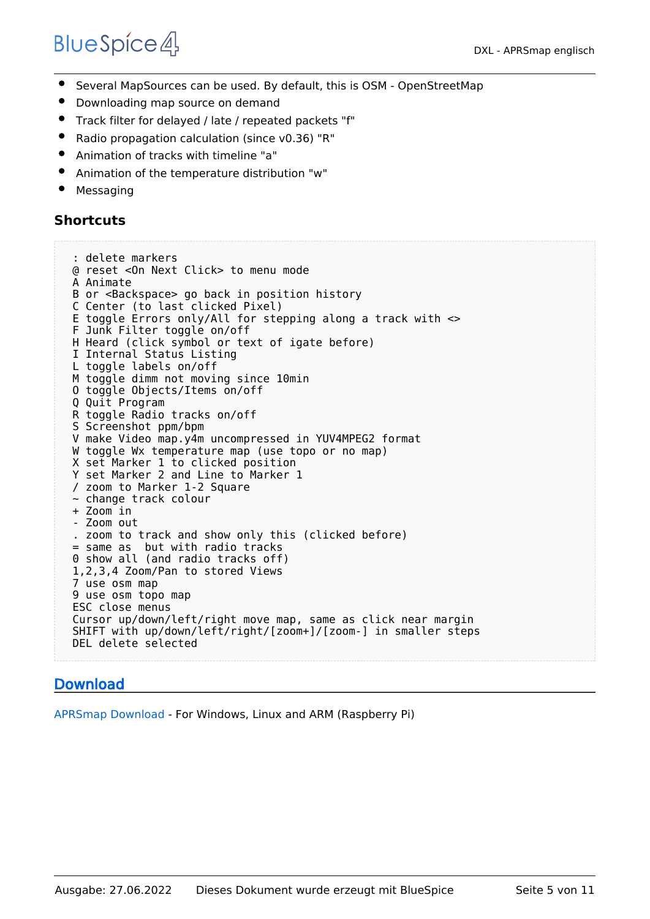- $\bullet$ Several MapSources can be used. By default, this is OSM - OpenStreetMap
- Downloading map source on demand
- Track filter for delayed / late / repeated packets "f"
- Radio propagation calculation (since v0.36) "R"
- Animation of tracks with timeline "a"
- Animation of the temperature distribution "w"
- Messaging

## **Shortcuts**

```
 : delete markers
@ reset <On Next Click> to menu mode
A Animate
B or <Backspace> go back in position history
C Center (to last clicked Pixel)
E toggle Errors only/All for stepping along a track with <>
F Junk Filter toggle on/off
H Heard (click symbol or text of igate before)
I Internal Status Listing
L toggle labels on/off
M toggle dimm not moving since 10min
O toggle Objects/Items on/off
Q Quit Program
R toggle Radio tracks on/off
S Screenshot ppm/bpm
V make Video map.y4m uncompressed in YUV4MPEG2 format
W toggle Wx temperature map (use topo or no map)
X set Marker 1 to clicked position
Y set Marker 2 and Line to Marker 1
/ zoom to Marker 1-2 Square
~ change track colour
+ Zoom in
- Zoom out
. zoom to track and show only this (clicked before)
= same as but with radio tracks
0 show all (and radio tracks off)
1,2,3,4 Zoom/Pan to stored Views
7 use osm map
9 use osm topo map
ESC close menus
Cursor up/down/left/right move map, same as click near margin
SHIFT with up/down/left/right/[zoom+]/[zoom-] in smaller steps
DEL delete selected
```
## [Download](#page-7-0)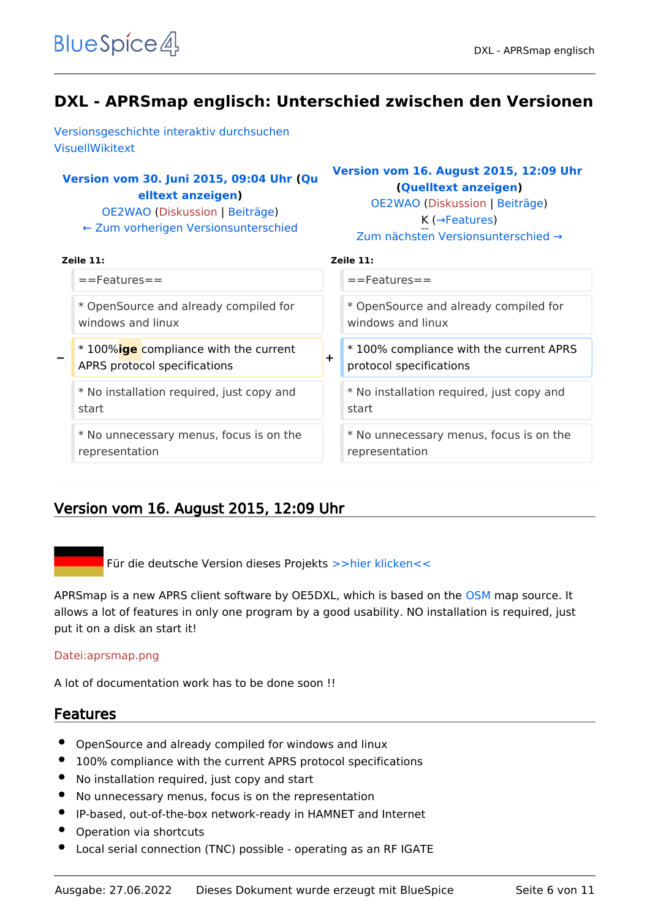<span id="page-5-0"></span>[Versionsgeschichte interaktiv durchsuchen](https://wiki.oevsv.at) [VisuellWikitext](https://wiki.oevsv.at)

## **[Version vom 30. Juni 2015, 09:04 Uhr](#page-9-0) ([Qu](#page-9-0) [elltext anzeigen\)](#page-9-0)**

[OE2WAO](#page-3-0) ([Diskussion](https://wiki.oevsv.at/w/index.php?title=Benutzer_Diskussion:OE2WAO&action=view) | [Beiträge](https://wiki.oevsv.at/wiki/Spezial:Beitr%C3%A4ge/OE2WAO)) [← Zum vorherigen Versionsunterschied](#page-9-0)

## **[Version vom 16. August 2015, 12:09 Uhr](#page-9-0) ([Quelltext anzeigen](#page-9-0))**

[OE2WAO](#page-3-0) [\(Diskussion](https://wiki.oevsv.at/w/index.php?title=Benutzer_Diskussion:OE2WAO&action=view) | [Beiträge\)](https://wiki.oevsv.at/wiki/Spezial:Beitr%C3%A4ge/OE2WAO) K (→Features) [Zum nächsten Versionsunterschied →](#page-9-0)

| eile 11. |  |
|----------|--|

| Zeile 11:                                                                   |
|-----------------------------------------------------------------------------|
| $=$ Features $=$                                                            |
| * OpenSource and already compiled for<br>windows and linux                  |
| *100% compliance with the current APRS<br>$\div$<br>protocol specifications |
| * No installation required, just copy and<br>start                          |
| * No unnecessary menus, focus is on the<br>representation                   |
|                                                                             |

## Version vom 16. August 2015, 12:09 Uhr

Für die deutsche Version dieses Projekts [>>hier klicken<<](#page-5-0)

APRSmap is a new APRS client software by OE5DXL, which is based on the [OSM](http://www.osm.org) map source. It allows a lot of features in only one program by a good usability. NO installation is required, just put it on a disk an start it!

#### [Datei:aprsmap.png](https://wiki.oevsv.at/w/index.php?title=Spezial:Hochladen&wpDestFile=aprsmap.png)

A lot of documentation work has to be done soon !!

- OpenSource and already compiled for windows and linux
- 100% compliance with the current APRS protocol specifications
- No installation required, just copy and start
- No unnecessary menus, focus is on the representation
- IP-based, out-of-the-box network-ready in HAMNET and Internet
- Operation via shortcuts
- Local serial connection (TNC) possible operating as an RF IGATE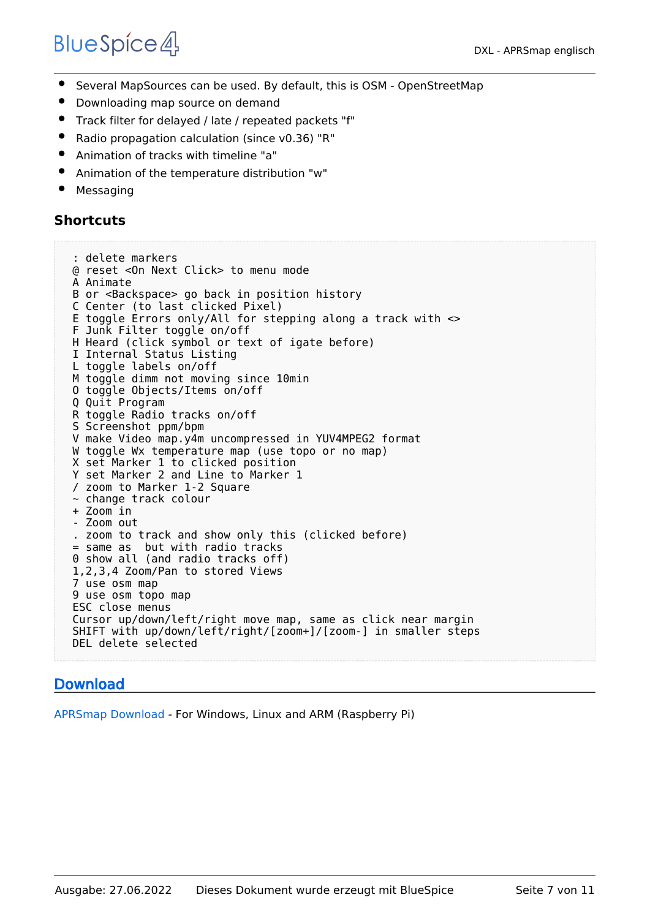- $\bullet$ Several MapSources can be used. By default, this is OSM - OpenStreetMap
- Downloading map source on demand
- Track filter for delayed / late / repeated packets "f"
- Radio propagation calculation (since v0.36) "R"
- Animation of tracks with timeline "a"
- Animation of the temperature distribution "w"
- Messaging

## **Shortcuts**

```
 : delete markers
@ reset <On Next Click> to menu mode
A Animate
B or <Backspace> go back in position history
C Center (to last clicked Pixel)
E toggle Errors only/All for stepping along a track with <>
F Junk Filter toggle on/off
H Heard (click symbol or text of igate before)
I Internal Status Listing
L toggle labels on/off
M toggle dimm not moving since 10min
O toggle Objects/Items on/off
Q Quit Program
R toggle Radio tracks on/off
S Screenshot ppm/bpm
V make Video map.y4m uncompressed in YUV4MPEG2 format
W toggle Wx temperature map (use topo or no map)
X set Marker 1 to clicked position
Y set Marker 2 and Line to Marker 1
/ zoom to Marker 1-2 Square
~ change track colour
+ Zoom in
- Zoom out
. zoom to track and show only this (clicked before)
= same as but with radio tracks
0 show all (and radio tracks off)
1,2,3,4 Zoom/Pan to stored Views
7 use osm map
9 use osm topo map
ESC close menus
Cursor up/down/left/right move map, same as click near margin
SHIFT with up/down/left/right/[zoom+]/[zoom-] in smaller steps
DEL delete selected
```
## [Download](#page-7-0)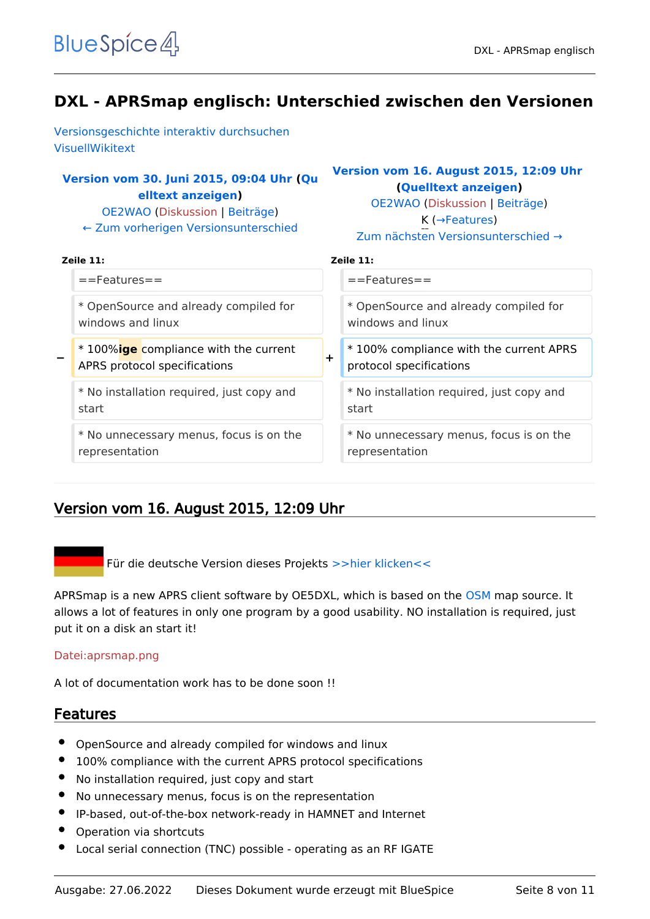<span id="page-7-0"></span>[Versionsgeschichte interaktiv durchsuchen](https://wiki.oevsv.at) [VisuellWikitext](https://wiki.oevsv.at)

## **[Version vom 30. Juni 2015, 09:04 Uhr](#page-9-0) ([Qu](#page-9-0) [elltext anzeigen\)](#page-9-0)**

[OE2WAO](#page-3-0) ([Diskussion](https://wiki.oevsv.at/w/index.php?title=Benutzer_Diskussion:OE2WAO&action=view) | [Beiträge](https://wiki.oevsv.at/wiki/Spezial:Beitr%C3%A4ge/OE2WAO)) [← Zum vorherigen Versionsunterschied](#page-9-0)

## **[Version vom 16. August 2015, 12:09 Uhr](#page-9-0) ([Quelltext anzeigen](#page-9-0))**

[OE2WAO](#page-3-0) [\(Diskussion](https://wiki.oevsv.at/w/index.php?title=Benutzer_Diskussion:OE2WAO&action=view) | [Beiträge\)](https://wiki.oevsv.at/wiki/Spezial:Beitr%C3%A4ge/OE2WAO) K (→Features) [Zum nächsten Versionsunterschied →](#page-9-0)

| Zeile $11:$                                                           | Zeile 11:                                                              |
|-----------------------------------------------------------------------|------------------------------------------------------------------------|
| $==$ Features $==$                                                    | $==$ Features $==$                                                     |
| * OpenSource and already compiled for                                 | * OpenSource and already compiled for                                  |
| windows and linux                                                     | windows and linux                                                      |
| * 100%ige compliance with the current<br>APRS protocol specifications | *100% compliance with the current APRS<br>÷<br>protocol specifications |
| * No installation required, just copy and                             | * No installation required, just copy and                              |
| start                                                                 | start                                                                  |
| * No unnecessary menus, focus is on the                               | * No unnecessary menus, focus is on the                                |
| representation                                                        | representation                                                         |

## Version vom 16. August 2015, 12:09 Uhr

Für die deutsche Version dieses Projekts [>>hier klicken<<](#page-5-0)

APRSmap is a new APRS client software by OE5DXL, which is based on the [OSM](http://www.osm.org) map source. It allows a lot of features in only one program by a good usability. NO installation is required, just put it on a disk an start it!

#### [Datei:aprsmap.png](https://wiki.oevsv.at/w/index.php?title=Spezial:Hochladen&wpDestFile=aprsmap.png)

A lot of documentation work has to be done soon !!

- OpenSource and already compiled for windows and linux
- 100% compliance with the current APRS protocol specifications
- No installation required, just copy and start
- No unnecessary menus, focus is on the representation
- IP-based, out-of-the-box network-ready in HAMNET and Internet
- Operation via shortcuts
- Local serial connection (TNC) possible operating as an RF IGATE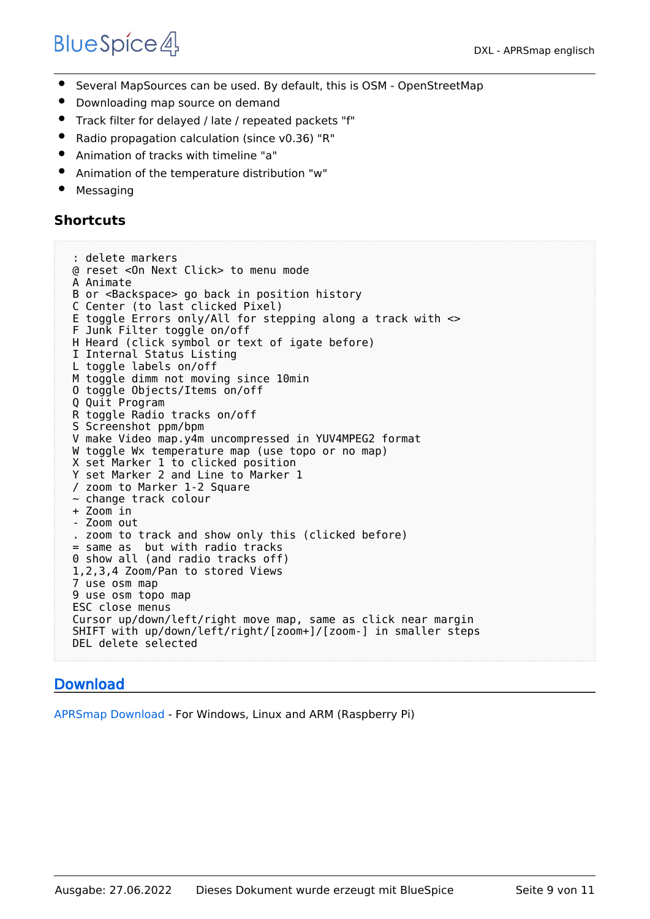- $\bullet$ Several MapSources can be used. By default, this is OSM - OpenStreetMap
- Downloading map source on demand
- Track filter for delayed / late / repeated packets "f"
- Radio propagation calculation (since v0.36) "R"
- Animation of tracks with timeline "a"
- Animation of the temperature distribution "w"
- Messaging

## **Shortcuts**

```
 : delete markers
@ reset <On Next Click> to menu mode
A Animate
B or <Backspace> go back in position history
C Center (to last clicked Pixel)
E toggle Errors only/All for stepping along a track with <>
F Junk Filter toggle on/off
H Heard (click symbol or text of igate before)
I Internal Status Listing
L toggle labels on/off
M toggle dimm not moving since 10min
O toggle Objects/Items on/off
Q Quit Program
R toggle Radio tracks on/off
S Screenshot ppm/bpm
V make Video map.y4m uncompressed in YUV4MPEG2 format
W toggle Wx temperature map (use topo or no map)
X set Marker 1 to clicked position
Y set Marker 2 and Line to Marker 1
/ zoom to Marker 1-2 Square
~ change track colour
+ Zoom in
- Zoom out
. zoom to track and show only this (clicked before)
= same as but with radio tracks
0 show all (and radio tracks off)
1,2,3,4 Zoom/Pan to stored Views
7 use osm map
9 use osm topo map
ESC close menus
Cursor up/down/left/right move map, same as click near margin
SHIFT with up/down/left/right/[zoom+]/[zoom-] in smaller steps
DEL delete selected
```
## [Download](#page-7-0)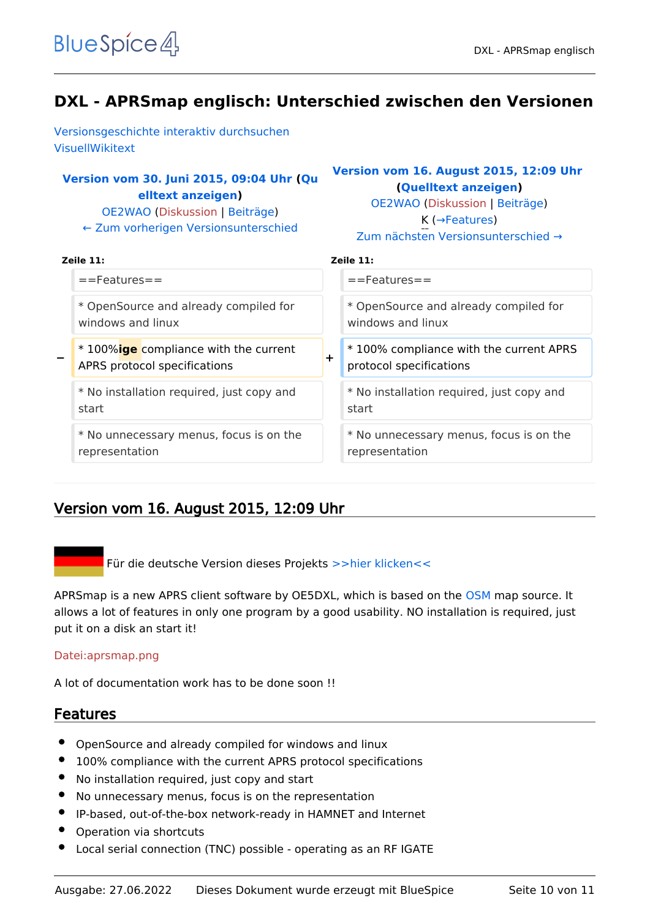<span id="page-9-0"></span>[Versionsgeschichte interaktiv durchsuchen](https://wiki.oevsv.at) [VisuellWikitext](https://wiki.oevsv.at)

## **[Version vom 30. Juni 2015, 09:04 Uhr](#page-9-0) ([Qu](#page-9-0) [elltext anzeigen\)](#page-9-0)**

[OE2WAO](#page-3-0) ([Diskussion](https://wiki.oevsv.at/w/index.php?title=Benutzer_Diskussion:OE2WAO&action=view) | [Beiträge](https://wiki.oevsv.at/wiki/Spezial:Beitr%C3%A4ge/OE2WAO)) [← Zum vorherigen Versionsunterschied](#page-9-0)

## **[Version vom 16. August 2015, 12:09 Uhr](#page-9-0) ([Quelltext anzeigen](#page-9-0))**

[OE2WAO](#page-3-0) [\(Diskussion](https://wiki.oevsv.at/w/index.php?title=Benutzer_Diskussion:OE2WAO&action=view) | [Beiträge\)](https://wiki.oevsv.at/wiki/Spezial:Beitr%C3%A4ge/OE2WAO) K (→Features) [Zum nächsten Versionsunterschied →](#page-9-0)

| $Zeile$ 11:                                                                   | Zeile 11:                                                                  |
|-------------------------------------------------------------------------------|----------------------------------------------------------------------------|
| $=$ Features $=$                                                              | $==$ Features $==$                                                         |
| * OpenSource and already compiled for                                         | * OpenSource and already compiled for                                      |
| windows and linux                                                             | windows and linux                                                          |
| * 100% <b>ige</b> compliance with the current<br>APRS protocol specifications | *100% compliance with the current APRS<br>$\pm$<br>protocol specifications |
| * No installation required, just copy and                                     | * No installation required, just copy and                                  |
| start                                                                         | start                                                                      |
| * No unnecessary menus, focus is on the                                       | * No unnecessary menus, focus is on the                                    |
| representation                                                                | representation                                                             |

## Version vom 16. August 2015, 12:09 Uhr

Für die deutsche Version dieses Projekts [>>hier klicken<<](#page-5-0)

APRSmap is a new APRS client software by OE5DXL, which is based on the [OSM](http://www.osm.org) map source. It allows a lot of features in only one program by a good usability. NO installation is required, just put it on a disk an start it!

#### [Datei:aprsmap.png](https://wiki.oevsv.at/w/index.php?title=Spezial:Hochladen&wpDestFile=aprsmap.png)

A lot of documentation work has to be done soon !!

- OpenSource and already compiled for windows and linux
- 100% compliance with the current APRS protocol specifications
- No installation required, just copy and start
- No unnecessary menus, focus is on the representation
- IP-based, out-of-the-box network-ready in HAMNET and Internet
- Operation via shortcuts
- Local serial connection (TNC) possible operating as an RF IGATE